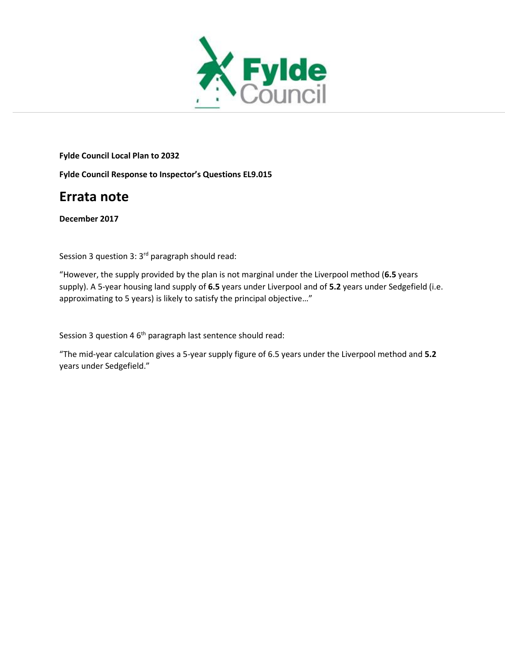

**Fylde Council Local Plan to 2032**

**Fylde Council Response to Inspector's Questions EL9.015**

# **Errata note**

**December 2017**

Session 3 question 3:  $3<sup>rd</sup>$  paragraph should read:

"However, the supply provided by the plan is not marginal under the Liverpool method (**6.5** years supply). A 5-year housing land supply of **6.5** years under Liverpool and of **5.2** years under Sedgefield (i.e. approximating to 5 years) is likely to satisfy the principal objective…"

Session 3 question 4 6<sup>th</sup> paragraph last sentence should read:

"The mid-year calculation gives a 5-year supply figure of 6.5 years under the Liverpool method and **5.2** years under Sedgefield."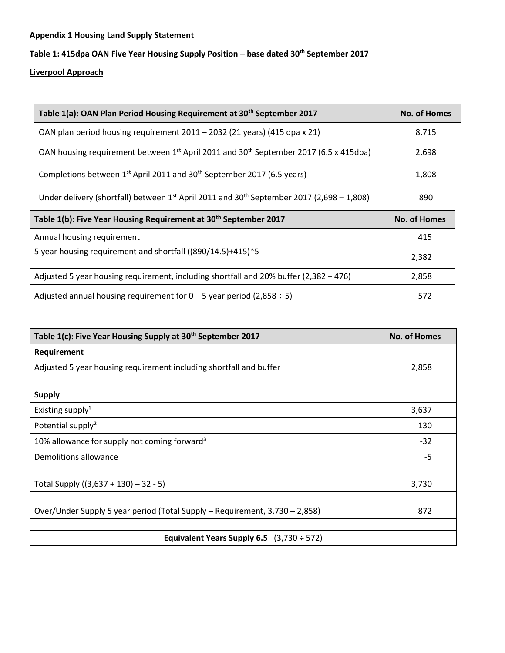### **Appendix 1 Housing Land Supply Statement**

## **Table 1: 415dpa OAN Five Year Housing Supply Position – base dated 30th September 2017**

**Liverpool Approach** 

| Table 1(a): OAN Plan Period Housing Requirement at 30 <sup>th</sup> September 2017                            | No. of Homes        |
|---------------------------------------------------------------------------------------------------------------|---------------------|
| OAN plan period housing requirement 2011 - 2032 (21 years) (415 dpa x 21)                                     | 8,715               |
| OAN housing requirement between 1 <sup>st</sup> April 2011 and 30 <sup>th</sup> September 2017 (6.5 x 415dpa) | 2,698               |
| Completions between 1 <sup>st</sup> April 2011 and 30 <sup>th</sup> September 2017 (6.5 years)                | 1,808               |
| Under delivery (shortfall) between $1^{st}$ April 2011 and 30 <sup>th</sup> September 2017 (2,698 – 1,808)    | 890                 |
|                                                                                                               |                     |
| Table 1(b): Five Year Housing Requirement at 30 <sup>th</sup> September 2017                                  | <b>No. of Homes</b> |
| Annual housing requirement                                                                                    | 415                 |
| 5 year housing requirement and shortfall ((890/14.5)+415)*5                                                   | 2,382               |
| Adjusted 5 year housing requirement, including shortfall and 20% buffer (2,382 + 476)                         | 2,858               |

| Table 1(c): Five Year Housing Supply at 30 <sup>th</sup> September 2017     | <b>No. of Homes</b> |  |
|-----------------------------------------------------------------------------|---------------------|--|
| Requirement                                                                 |                     |  |
| Adjusted 5 year housing requirement including shortfall and buffer          | 2,858               |  |
|                                                                             |                     |  |
| <b>Supply</b>                                                               |                     |  |
| Existing supply <sup>1</sup>                                                | 3,637               |  |
| Potential supply <sup>2</sup>                                               | 130                 |  |
| 10% allowance for supply not coming forward <sup>3</sup>                    | $-32$               |  |
| Demolitions allowance                                                       | $-5$                |  |
|                                                                             |                     |  |
| Total Supply ((3,637 + 130) – 32 - 5)                                       | 3,730               |  |
|                                                                             |                     |  |
| Over/Under Supply 5 year period (Total Supply – Requirement, 3,730 – 2,858) | 872                 |  |
|                                                                             |                     |  |
| Equivalent Years Supply 6.5 $(3,730 \div 572)$                              |                     |  |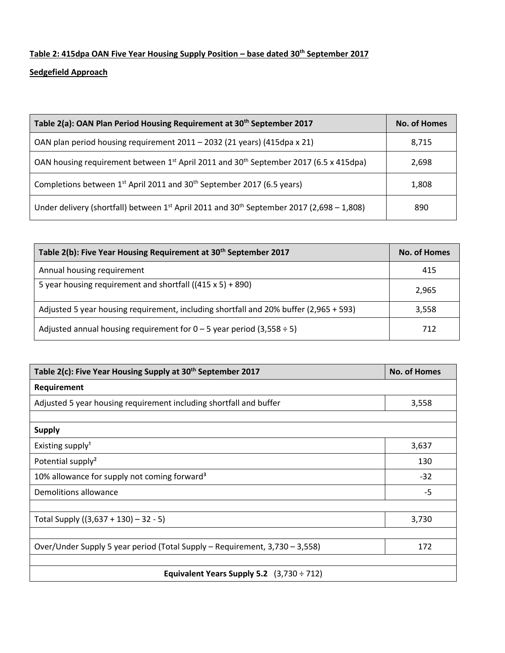# **Table 2: 415dpa OAN Five Year Housing Supply Position – base dated 30th September 2017**

### **Sedgefield Approach**

| Table 2(a): OAN Plan Period Housing Requirement at 30 <sup>th</sup> September 2017                            | <b>No. of Homes</b> |
|---------------------------------------------------------------------------------------------------------------|---------------------|
| OAN plan period housing requirement 2011 - 2032 (21 years) (415dpa x 21)                                      | 8,715               |
| OAN housing requirement between 1 <sup>st</sup> April 2011 and 30 <sup>th</sup> September 2017 (6.5 x 415dpa) | 2,698               |
| Completions between 1 <sup>st</sup> April 2011 and 30 <sup>th</sup> September 2017 (6.5 years)                | 1,808               |
| Under delivery (shortfall) between $1^{st}$ April 2011 and 30 <sup>th</sup> September 2017 (2,698 - 1,808)    | 890                 |

| Table 2(b): Five Year Housing Requirement at 30 <sup>th</sup> September 2017          | No. of Homes |
|---------------------------------------------------------------------------------------|--------------|
| Annual housing requirement                                                            | 415          |
| 5 year housing requirement and shortfall $((415 \times 5) + 890)$                     | 2,965        |
| Adjusted 5 year housing requirement, including shortfall and 20% buffer (2,965 + 593) | 3,558        |
| Adjusted annual housing requirement for $0 - 5$ year period (3,558 ÷ 5)               | 712          |

| Table 2(c): Five Year Housing Supply at 30 <sup>th</sup> September 2017     | <b>No. of Homes</b> |  |
|-----------------------------------------------------------------------------|---------------------|--|
| Requirement                                                                 |                     |  |
| Adjusted 5 year housing requirement including shortfall and buffer          | 3,558               |  |
|                                                                             |                     |  |
| <b>Supply</b>                                                               |                     |  |
| Existing supply <sup>1</sup>                                                | 3,637               |  |
| Potential supply <sup>2</sup>                                               | 130                 |  |
| 10% allowance for supply not coming forward <sup>3</sup>                    | $-32$               |  |
| Demolitions allowance                                                       | $-5$                |  |
|                                                                             |                     |  |
| Total Supply $((3,637 + 130) - 32 - 5)$                                     | 3,730               |  |
|                                                                             |                     |  |
| Over/Under Supply 5 year period (Total Supply – Requirement, 3,730 – 3,558) | 172                 |  |
|                                                                             |                     |  |
| Equivalent Years Supply 5.2 $(3,730 \div 712)$                              |                     |  |